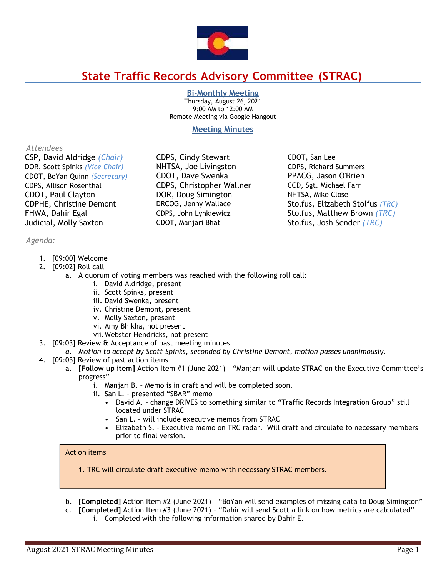

# **State Traffic Records Advisory Committee (STRAC)**

# **Bi-Monthly Meeting**

Thursday, August 26, 2021 9:00 AM to 12:00 AM Remote Meeting via Google Hangout

# **Meeting Minutes**

# *Attendees*

CSP, David Aldridge *(Chair)* CDPS, Cindy Stewart CDOT, San Lee DOR, Scott Spinks *(Vice Chair)* NHTSA, Joe Livingston CDPS, Richard Summers CDOT, BoYan Quinn *(Secretary)* CDOT, Dave Swenka PPACG, Jason O'Brien CDPS, Allison Rosenthal CDPS, Christopher Wallner CCD, Sgt. Michael Farr CDOT, Paul Clayton DOR, Doug Simington NHTSA, Mike Close CDPHE, Christine Demont DRCOG, Jenny Wallace Stolfus, Elizabeth Stolfus *(TRC)* FHWA, Dahir Egal CDPS, John Lynkiewicz Stolfus, Matthew Brown *(TRC)*  Judicial, Molly Saxton CDOT, Manjari Bhat Stolfus, Josh Sender *(TRC)* 

*Agenda:*

- 1. [09:00] Welcome
- 2. [09:02] Roll call
	- a. A quorum of voting members was reached with the following roll call:
		- i. David Aldridge, present
			- ii. Scott Spinks, present
			- iii. David Swenka, present
			- iv. Christine Demont, present
		- v. Molly Saxton, present
		- vi. Amy Bhikha, not present
		- vii.Webster Hendricks, not present
- 3. [09:03] Review & Acceptance of past meeting minutes
- *a. Motion to accept by Scott Spinks, seconded by Christine Demont, motion passes unanimously.*
- 4. [09:05] Review of past action items
	- a. **[Follow up item]** Action Item #1 (June 2021) "Manjari will update STRAC on the Executive Committee's progress"
		- i. Manjari B. Memo is in draft and will be completed soon.
		- ii. San L. presented "SBAR" memo
			- David A. change DRIVES to something similar to "Traffic Records Integration Group" still located under STRAC
			- San L. will include executive memos from STRAC
			- Elizabeth S. Executive memo on TRC radar. Will draft and circulate to necessary members prior to final version.

# Action items

- 1. TRC will circulate draft executive memo with necessary STRAC members.
- b. **[Completed]** Action Item #2 (June 2021) "BoYan will send examples of missing data to Doug Simington"
- c. **[Completed]** Action Item #3 (June 2021) "Dahir will send Scott a link on how metrics are calculated"
	- i. Completed with the following information shared by Dahir E.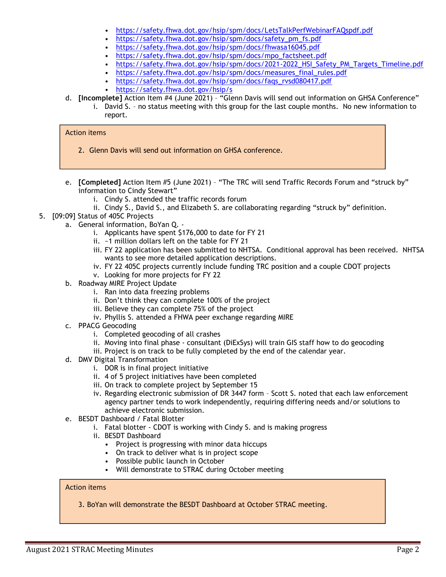- <https://safety.fhwa.dot.gov/hsip/spm/docs/LetsTalkPerfWebinarFAQspdf.pdf>
- [https://safety.fhwa.dot.gov/hsip/spm/docs/safety\\_pm\\_fs.pdf](https://safety.fhwa.dot.gov/hsip/spm/docs/safety_pm_fs.pdf)
- <https://safety.fhwa.dot.gov/hsip/spm/docs/fhwasa16045.pdf>
- [https://safety.fhwa.dot.gov/hsip/spm/docs/mpo\\_factsheet.pdf](https://safety.fhwa.dot.gov/hsip/spm/docs/mpo_factsheet.pdf)
- [https://safety.fhwa.dot.gov/hsip/spm/docs/2021-2022\\_HSI\\_Safety\\_PM\\_Targets\\_Timeline.pdf](https://safety.fhwa.dot.gov/hsip/spm/docs/2021-2022_HSI_Safety_PM_Targets_Timeline.pdf)
- [https://safety.fhwa.dot.gov/hsip/spm/docs/measures\\_final\\_rules.pdf](https://safety.fhwa.dot.gov/hsip/spm/docs/measures_final_rules.pdf)
- [https://safety.fhwa.dot.gov/hsip/spm/docs/faqs\\_rvsd080417.pdf](https://safety.fhwa.dot.gov/hsip/spm/docs/faqs_rvsd080417.pdf)
- <https://safety.fhwa.dot.gov/hsip/s>
- d. **[Incomplete]** Action Item #4 (June 2021) "Glenn Davis will send out information on GHSA Conference"
	- i. David S. no status meeting with this group for the last couple months. No new information to report.

#### Action items

- 2. Glenn Davis will send out information on GHSA conference.
- e. **[Completed]** Action Item #5 (June 2021) "The TRC will send Traffic Records Forum and "struck by" information to Cindy Stewart"
	- i. Cindy S. attended the traffic records forum
	- ii. Cindy S., David S., and Elizabeth S. are collaborating regarding "struck by" definition.
- 5. [09:09] Status of 405C Projects
	- a. General information, BoYan Q.
		- i. Applicants have spent \$176,000 to date for FY 21
		- ii. ~1 million dollars left on the table for FY 21
		- iii. FY 22 application has been submitted to NHTSA. Conditional approval has been received. NHTSA wants to see more detailed application descriptions.
		- iv. FY 22 405C projects currently include funding TRC position and a couple CDOT projects
		- v. Looking for more projects for FY 22
	- b. Roadway MIRE Project Update
		- i. Ran into data freezing problems
		- ii. Don't think they can complete 100% of the project
		- iii. Believe they can complete 75% of the project
		- iv. Phyllis S. attended a FHWA peer exchange regarding MIRE
	- c. PPACG Geocoding
		- i. Completed geocoding of all crashes
		- ii. Moving into final phase consultant (DiExSys) will train GIS staff how to do geocoding
		- iii. Project is on track to be fully completed by the end of the calendar year.
	- d. DMV Digital Transformation
		- i. DOR is in final project initiative
		- ii. 4 of 5 project initiatives have been completed
		- iii. On track to complete project by September 15
		- iv. Regarding electronic submission of DR 3447 form Scott S. noted that each law enforcement agency partner tends to work independently, requiring differing needs and/or solutions to achieve electronic submission.
	- e. BESDT Dashboard / Fatal Blotter
		- i. Fatal blotter CDOT is working with Cindy S. and is making progress
		- ii. BESDT Dashboard
			- Project is progressing with minor data hiccups
			- On track to deliver what is in project scope
			- Possible public launch in October
			- Will demonstrate to STRAC during October meeting

#### Action items

3. BoYan will demonstrate the BESDT Dashboard at October STRAC meeting.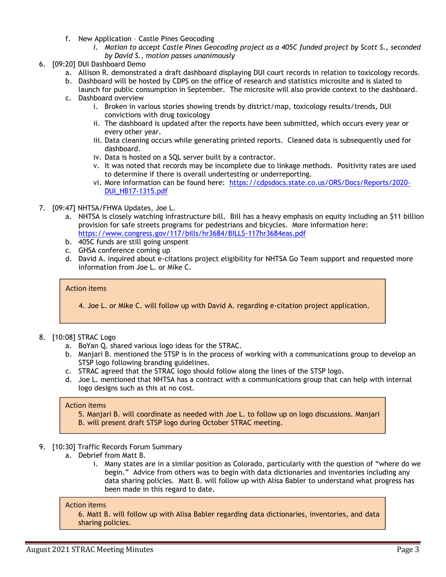- f. New Application Castle Pines Geocoding
	- *i. Motion to accept Castle Pines Geocoding project as a 405C funded project by Scott S., seconded by David S., motion passes unanimously*
- 6. [09:20] DUI Dashboard Demo
	- a. Allison R. demonstrated a draft dashboard displaying DUI court records in relation to toxicology records.
	- b. Dashboard will be hosted by CDPS on the office of research and statistics microsite and is slated to launch for public consumption in September. The microsite will also provide context to the dashboard.
	- c. Dashboard overview
		- i. Broken in various stories showing trends by district/map, toxicology results/trends, DUI convictions with drug toxicology
		- ii. The dashboard is updated after the reports have been submitted, which occurs every year or every other year.
		- iii. Data cleaning occurs while generating printed reports. Cleaned data is subsequently used for dashboard.
		- iv. Data is hosted on a SQL server built by a contractor.
		- v. It was noted that records may be incomplete due to linkage methods. Positivity rates are used to determine if there is overall undertesting or underreporting.
		- vi. More information can be found here: [https://cdpsdocs.state.co.us/ORS/Docs/Reports/2020-](https://cdpsdocs.state.co.us/ORS/Docs/Reports/2020-DUI_HB17-1315.pdf) [DUI\\_HB17-1315.pdf](https://cdpsdocs.state.co.us/ORS/Docs/Reports/2020-DUI_HB17-1315.pdf)
- 7. [09:47] NHTSA/FHWA Updates, Joe L.
	- a. NHTSA is closely watching infrastructure bill. Bill has a heavy emphasis on equity including an \$11 billion provision for safe streets programs for pedestrians and bicycles. More information here: <https://www.congress.gov/117/bills/hr3684/BILLS-117hr3684eas.pdf>
	- b. 405C funds are still going unspent
	- c. GHSA conference coming up
	- d. David A. inquired about e-citations project eligibility for NHTSA Go Team support and requested more information from Joe L. or Mike C.

### Action items

4. Joe L. or Mike C. will follow up with David A. regarding e-citation project application.

- 8. [10:08] STRAC Logo
	- a. BoYan Q. shared various logo ideas for the STRAC.
	- b. Manjari B. mentioned the STSP is in the process of working with a communications group to develop an STSP logo following branding guidelines.
	- c. STRAC agreed that the STRAC logo should follow along the lines of the STSP logo.
	- d. Joe L. mentioned that NHTSA has a contract with a communications group that can help with internal logo designs such as this at no cost.

#### Action items

- 5. Manjari B. will coordinate as needed with Joe L. to follow up on logo discussions. Manjari
- B. will present draft STSP logo during October STRAC meeting.
- 9. [10:30] Traffic Records Forum Summary
	- a. Debrief from Matt B.
		- i. Many states are in a similar position as Colorado, particularly with the question of "where do we begin." Advice from others was to begin with data dictionaries and inventories including any data sharing policies. Matt B. will follow up with Alisa Babler to understand what progress has been made in this regard to date.

#### Action items

6. Matt B. will follow up with Alisa Babler regarding data dictionaries, inventories, and data sharing policies.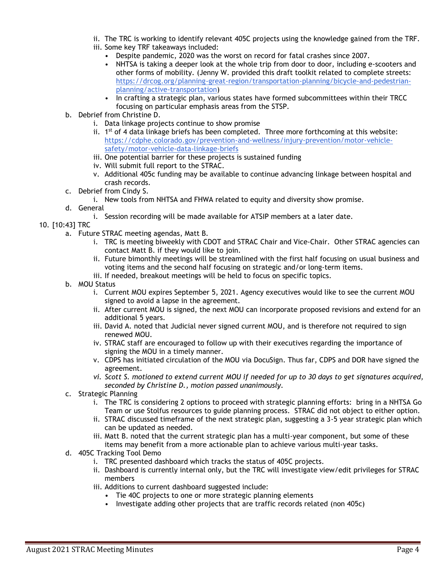- ii. The TRC is working to identify relevant 405C projects using the knowledge gained from the TRF. iii. Some key TRF takeaways included:
	- Despite pandemic, 2020 was the worst on record for fatal crashes since 2007.
	- NHTSA is taking a deeper look at the whole trip from door to door, including e-scooters and other forms of mobility. (Jenny W. provided this draft toolkit related to complete streets: [https://drcog.org/planning-great-region/transportation-planning/bicycle-and-pedestrian](https://drcog.org/planning-great-region/transportation-planning/bicycle-and-pedestrian-planning/active-transportation)[planning/active-transportation\)](https://drcog.org/planning-great-region/transportation-planning/bicycle-and-pedestrian-planning/active-transportation)
	- In crafting a strategic plan, various states have formed subcommittees within their TRCC focusing on particular emphasis areas from the STSP.
- b. Debrief from Christine D.
	- i. Data linkage projects continue to show promise
	- ii.  $1<sup>st</sup>$  of 4 data linkage briefs has been completed. Three more forthcoming at this website: [https://cdphe.colorado.gov/prevention-and-wellness/injury-prevention/motor-vehicle](https://cdphe.colorado.gov/prevention-and-wellness/injury-prevention/motor-vehicle-safety/motor-vehicle-data-linkage-briefs)[safety/motor-vehicle-data-linkage-briefs](https://cdphe.colorado.gov/prevention-and-wellness/injury-prevention/motor-vehicle-safety/motor-vehicle-data-linkage-briefs)
	- iii. One potential barrier for these projects is sustained funding
	- iv. Will submit full report to the STRAC.
	- v. Additional 405c funding may be available to continue advancing linkage between hospital and crash records.
- c. Debrief from Cindy S.
	- i. New tools from NHTSA and FHWA related to equity and diversity show promise.
- d. General
	- i. Session recording will be made available for ATSIP members at a later date.

# 10. [10:43] TRC

- a. Future STRAC meeting agendas, Matt B.
	- i. TRC is meeting biweekly with CDOT and STRAC Chair and Vice-Chair. Other STRAC agencies can contact Matt B. if they would like to join.
	- ii. Future bimonthly meetings will be streamlined with the first half focusing on usual business and voting items and the second half focusing on strategic and/or long-term items.
	- iii. If needed, breakout meetings will be held to focus on specific topics.
- b. MOU Status
	- i. Current MOU expires September 5, 2021. Agency executives would like to see the current MOU signed to avoid a lapse in the agreement.
	- ii. After current MOU is signed, the next MOU can incorporate proposed revisions and extend for an additional 5 years.
	- iii. David A. noted that Judicial never signed current MOU, and is therefore not required to sign renewed MOU.
	- iv. STRAC staff are encouraged to follow up with their executives regarding the importance of signing the MOU in a timely manner.
	- v. CDPS has initiated circulation of the MOU via DocuSign. Thus far, CDPS and DOR have signed the agreement.
	- *vi. Scott S. motioned to extend current MOU if needed for up to 30 days to get signatures acquired, seconded by Christine D., motion passed unanimously.*
- c. Strategic Planning
	- i. The TRC is considering 2 options to proceed with strategic planning efforts: bring in a NHTSA Go Team or use Stolfus resources to guide planning process. STRAC did not object to either option.
	- ii. STRAC discussed timeframe of the next strategic plan, suggesting a 3-5 year strategic plan which can be updated as needed.
	- iii. Matt B. noted that the current strategic plan has a multi-year component, but some of these items may benefit from a more actionable plan to achieve various multi-year tasks.
- d. 405C Tracking Tool Demo
	- i. TRC presented dashboard which tracks the status of 405C projects.
	- ii. Dashboard is currently internal only, but the TRC will investigate view/edit privileges for STRAC members
	- iii. Additions to current dashboard suggested include:
		- Tie 40C projects to one or more strategic planning elements
		- Investigate adding other projects that are traffic records related (non 405c)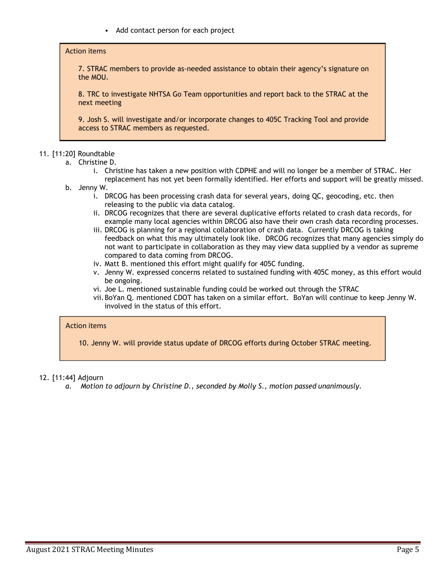• Add contact person for each project

#### Action items

7. STRAC members to provide as-needed assistance to obtain their agency's signature on the MOU.

8. TRC to investigate NHTSA Go Team opportunities and report back to the STRAC at the next meeting

9. Josh S. will investigate and/or incorporate changes to 405C Tracking Tool and provide access to STRAC members as requested.

# 11. [11:20] Roundtable

- a. Christine D.
	- i. Christine has taken a new position with CDPHE and will no longer be a member of STRAC. Her replacement has not yet been formally identified. Her efforts and support will be greatly missed.
- b. Jenny W.
	- i. DRCOG has been processing crash data for several years, doing QC, geocoding, etc. then releasing to the public via data catalog.
	- ii. DRCOG recognizes that there are several duplicative efforts related to crash data records, for example many local agencies within DRCOG also have their own crash data recording processes.
	- iii. DRCOG is planning for a regional collaboration of crash data. Currently DRCOG is taking feedback on what this may ultimately look like. DRCOG recognizes that many agencies simply do not want to participate in collaboration as they may view data supplied by a vendor as supreme compared to data coming from DRCOG.
	- iv. Matt B. mentioned this effort might qualify for 405C funding.
	- v. Jenny W. expressed concerns related to sustained funding with 405C money, as this effort would be ongoing.
	- vi. Joe L. mentioned sustainable funding could be worked out through the STRAC
	- vii.BoYan Q. mentioned CDOT has taken on a similar effort. BoYan will continue to keep Jenny W. involved in the status of this effort.

#### Action items

10. Jenny W. will provide status update of DRCOG efforts during October STRAC meeting.

# 12. [11:44] Adjourn

*a. Motion to adjourn by Christine D., seconded by Molly S., motion passed unanimously.*